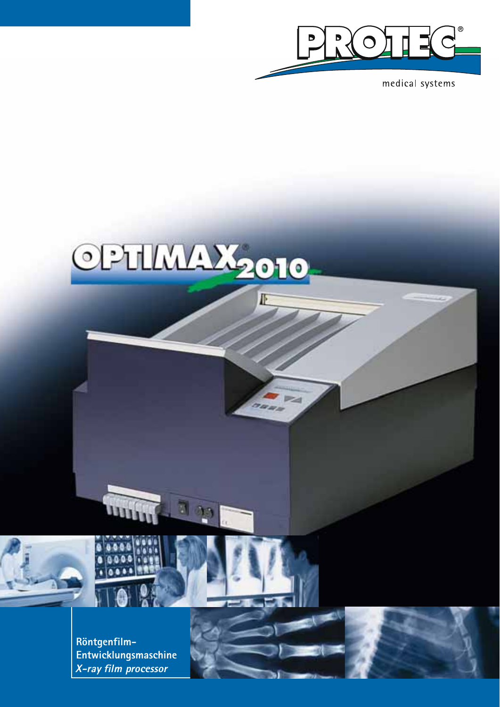

medical systems



團

F

E

naan

**Röntgenfilm-Entwicklungsmaschine** *X-ray film processor*

un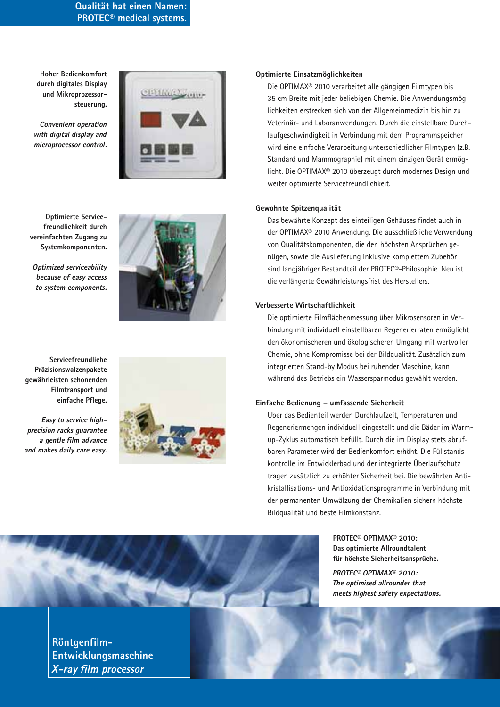**Qualität hat einen Namen: PROTEC® medical systems.**

**Hoher Bedienkomfort durch digitales Display und Mikroprozessorsteuerung.**

*Convenient operation with digital display and microprocessor control.*



**Optimierte Servicefreundlichkeit durch vereinfachten Zugang zu Systemkomponenten.**

*Optimized serviceability because of easy access to system components.*



**Servicefreundliche Präzisionswalzenpakete gewährleisten schonenden Filmtransport und einfache Pflege.**

*Easy to service highprecision racks guarantee a gentle film advance and makes daily care easy.*



# **Optimierte Einsatzmöglichkeiten**

Die OPTIMAX® 2010 verarbeitet alle gängigen Filmtypen bis 35 cm Breite mit jeder beliebigen Chemie. Die Anwendungsmöglichkeiten erstrecken sich von der Allgemeinmedizin bis hin zu Veterinär- und Laboranwendungen. Durch die einstellbare Durchlaufgeschwindigkeit in Verbindung mit dem Programmspeicher wird eine einfache Verarbeitung unterschiedlicher Filmtypen (z.B. Standard und Mammographie) mit einem einzigen Gerät ermöglicht. Die OPTIMAX® 2010 überzeugt durch modernes Design und weiter optimierte Servicefreundlichkeit.

# **Gewohnte Spitzenqualität**

Das bewährte Konzept des einteiligen Gehäuses findet auch in der OPTIMAX® 2010 Anwendung. Die ausschließliche Verwendung von Qualitätskomponenten, die den höchsten Ansprüchen genügen, sowie die Auslieferung inklusive komplettem Zubehör sind langjähriger Bestandteil der PROTEC®-Philosophie. Neu ist die verlängerte Gewährleistungsfrist des Herstellers.

#### **Verbesserte Wirtschaftlichkeit**

Die optimierte Filmflächenmessung über Mikrosensoren in Verbindung mit individuell einstellbaren Regenerierraten ermöglicht den ökonomischeren und ökologischeren Umgang mit wertvoller Chemie, ohne Kompromisse bei der Bildqualität. Zusätzlich zum integrierten Stand-by Modus bei ruhender Maschine, kann während des Betriebs ein Wassersparmodus gewählt werden.

# **Einfache Bedienung – umfassende Sicherheit**

Über das Bedienteil werden Durchlaufzeit, Temperaturen und Regeneriermengen individuell eingestellt und die Bäder im Warmup-Zyklus automatisch befüllt. Durch die im Display stets abrufbaren Parameter wird der Bedienkomfort erhöht. Die Füllstandskontrolle im Entwicklerbad und der integrierte Überlaufschutz tragen zusätzlich zu erhöhter Sicherheit bei. Die bewährten Antikristallisations- und Antioxidationsprogramme in Verbindung mit der permanenten Umwälzung der Chemikalien sichern höchste Bildqualität und beste Filmkonstanz.

> **PROTEC® OPTIMAX® 2010: Das optimierte Allroundtalent für höchste Sicherheitsansprüche.**

*PROTEC® OPTIMAX® 2010: The optimised allrounder that meets highest safety expectations.*



**Röntgenfilm-Entwicklungsmaschine** *X-ray film processor*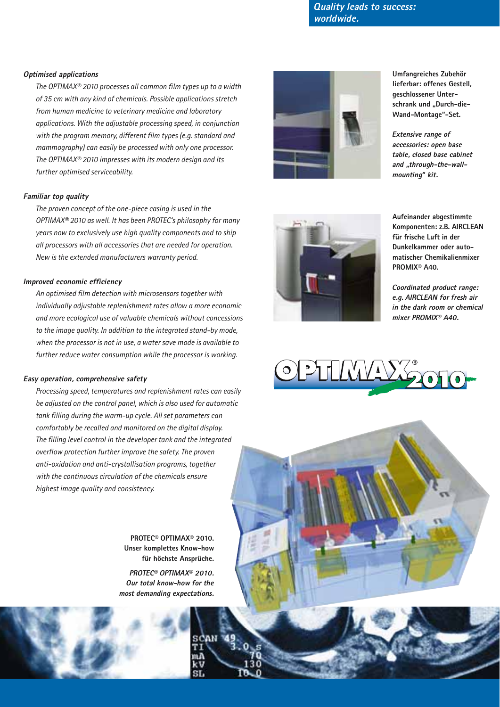*Quality leads to success: worldwide.*

### *Optimised applications*

*The OPTIMAX® 2010 processes all common film types up to a width of 35 cm with any kind of chemicals. Possible applications stretch from human medicine to veterinary medicine and laboratory applications. With the adjustable processing speed, in conjunction with the program memory, different film types (e.g. standard and mammography) can easily be processed with only one processor. The OPTIMAX® 2010 impresses with its modern design and its further optimised serviceability.*

#### *Familiar top quality*

*The proven concept of the one-piece casing is used in the OPTIMAX® 2010 as well. It has been PROTEC's philosophy for many years now to exclusively use high quality components and to ship all processors with all accessories that are needed for operation. New is the extended manufacturers warranty period.*

#### *Improved economic efficiency*

*An optimised film detection with microsensors together with individually adjustable replenishment rates allow a more economic and more ecological use of valuable chemicals without concessions to the image quality. In addition to the integrated stand-by mode, when the processor is not in use, a water save mode is available to further reduce water consumption while the processor is working.*

#### *Easy operation, comprehensive safety*

*Processing speed, temperatures and replenishment rates can easily be adjusted on the control panel, which is also used for automatic tank filling during the warm-up cycle. All set parameters can comfortably be recalled and monitored on the digital display. The filling level control in the developer tank and the integrated overflow protection further improve the safety. The proven anti-oxidation and anti-crystallisation programs, together with the continuous circulation of the chemicals ensure highest image quality and consistency.*

> **PROTEC® OPTIMAX® 2010. Unser komplettes Know-how für höchste Ansprüche.**

*PROTEC® OPTIMAX® 2010. Our total know-how for the most demanding expectations.*



**Umfangreiches Zubehör lieferbar: offenes Gestell, geschlossener Unter**schrank und "Durch-die-**Wand-Montage"-Set.**

*Extensive range of accessories: open base table, closed base cabinet and "through-the-wallmounting" kit.*



**Aufeinander abgestimmte Komponenten: z.B. AIRCLEAN für frische Luft in der Dunkelkammer oder automatischer Chemikalienmixer PROMIX® A40.**

*Coordinated product range: e.g. AIRCLEAN for fresh air in the dark room or chemical mixer PROMIX® A40.*